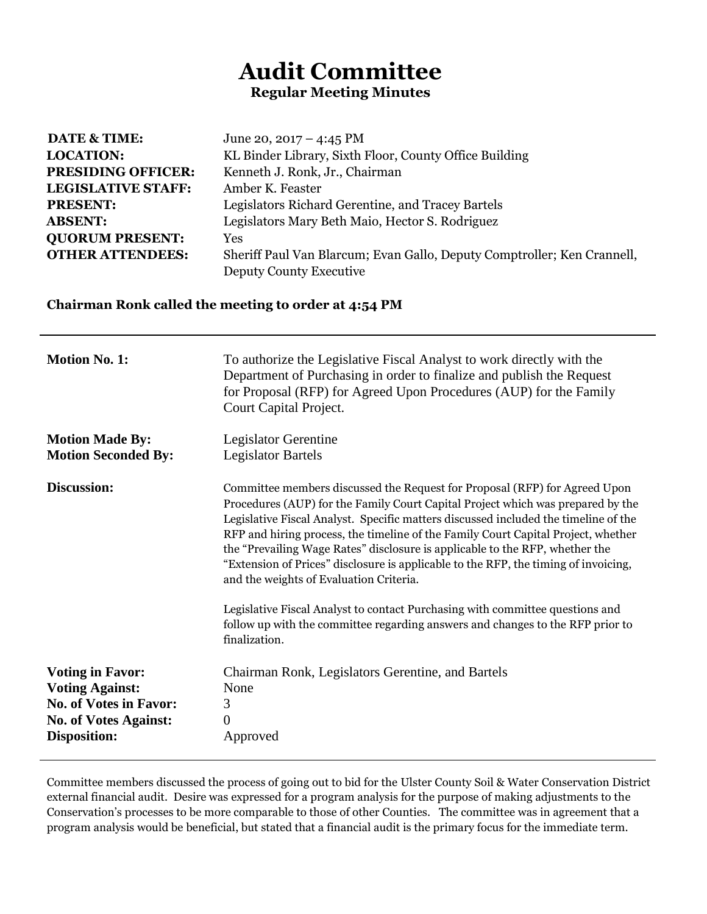## **Audit Committee Regular Meeting Minutes**

| <b>DATE &amp; TIME:</b>   | June 20, 2017 – 4:45 PM                                                 |
|---------------------------|-------------------------------------------------------------------------|
| <b>LOCATION:</b>          | KL Binder Library, Sixth Floor, County Office Building                  |
| <b>PRESIDING OFFICER:</b> | Kenneth J. Ronk, Jr., Chairman                                          |
| <b>LEGISLATIVE STAFF:</b> | Amber K. Feaster                                                        |
| <b>PRESENT:</b>           | Legislators Richard Gerentine, and Tracey Bartels                       |
| <b>ABSENT:</b>            | Legislators Mary Beth Maio, Hector S. Rodriguez                         |
| <b>QUORUM PRESENT:</b>    | <b>Yes</b>                                                              |
| <b>OTHER ATTENDEES:</b>   | Sheriff Paul Van Blarcum; Evan Gallo, Deputy Comptroller; Ken Crannell, |
|                           | Deputy County Executive                                                 |

## **Chairman Ronk called the meeting to order at 4:54 PM**

| <b>Motion No. 1:</b>                                                                                                                      | To authorize the Legislative Fiscal Analyst to work directly with the<br>Department of Purchasing in order to finalize and publish the Request<br>for Proposal (RFP) for Agreed Upon Procedures (AUP) for the Family<br>Court Capital Project.                                                                                                                                                                                                                                                                                                              |
|-------------------------------------------------------------------------------------------------------------------------------------------|-------------------------------------------------------------------------------------------------------------------------------------------------------------------------------------------------------------------------------------------------------------------------------------------------------------------------------------------------------------------------------------------------------------------------------------------------------------------------------------------------------------------------------------------------------------|
| <b>Motion Made By:</b><br><b>Motion Seconded By:</b>                                                                                      | Legislator Gerentine<br><b>Legislator Bartels</b>                                                                                                                                                                                                                                                                                                                                                                                                                                                                                                           |
| Discussion:                                                                                                                               | Committee members discussed the Request for Proposal (RFP) for Agreed Upon<br>Procedures (AUP) for the Family Court Capital Project which was prepared by the<br>Legislative Fiscal Analyst. Specific matters discussed included the timeline of the<br>RFP and hiring process, the timeline of the Family Court Capital Project, whether<br>the "Prevailing Wage Rates" disclosure is applicable to the RFP, whether the<br>"Extension of Prices" disclosure is applicable to the RFP, the timing of invoicing,<br>and the weights of Evaluation Criteria. |
|                                                                                                                                           | Legislative Fiscal Analyst to contact Purchasing with committee questions and<br>follow up with the committee regarding answers and changes to the RFP prior to<br>finalization.                                                                                                                                                                                                                                                                                                                                                                            |
| <b>Voting in Favor:</b><br><b>Voting Against:</b><br><b>No. of Votes in Favor:</b><br><b>No. of Votes Against:</b><br><b>Disposition:</b> | Chairman Ronk, Legislators Gerentine, and Bartels<br>None<br>3<br>$\boldsymbol{0}$<br>Approved                                                                                                                                                                                                                                                                                                                                                                                                                                                              |

Committee members discussed the process of going out to bid for the Ulster County Soil & Water Conservation District external financial audit. Desire was expressed for a program analysis for the purpose of making adjustments to the Conservation's processes to be more comparable to those of other Counties. The committee was in agreement that a program analysis would be beneficial, but stated that a financial audit is the primary focus for the immediate term.